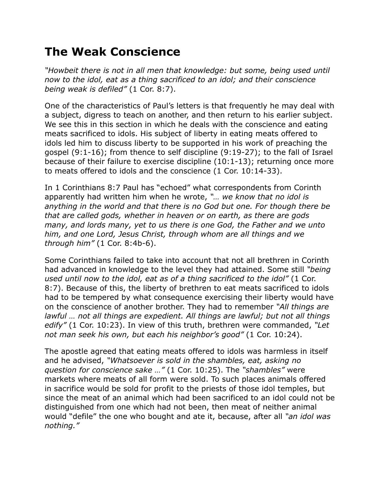## **The Weak Conscience**

*"Howbeit there is not in all men that knowledge: but some, being used until now to the idol, eat as a thing sacrificed to an idol; and their conscience being weak is defiled"* (1 Cor. 8:7).

One of the characteristics of Paul's letters is that frequently he may deal with a subject, digress to teach on another, and then return to his earlier subject. We see this in this section in which he deals with the conscience and eating meats sacrificed to idols. His subject of liberty in eating meats offered to idols led him to discuss liberty to be supported in his work of preaching the gospel (9:1-16); from thence to self discipline (9:19-27); to the fall of Israel because of their failure to exercise discipline (10:1-13); returning once more to meats offered to idols and the conscience (1 Cor. 10:14-33).

In 1 Corinthians 8:7 Paul has "echoed" what correspondents from Corinth apparently had written him when he wrote, *"… we know that no idol is anything in the world and that there is no God but one. For though there be that are called gods, whether in heaven or on earth, as there are gods many, and lords many, yet to us there is one God, the Father and we unto him, and one Lord, Jesus Christ, through whom are all things and we through him"* (1 Cor. 8:4b-6).

Some Corinthians failed to take into account that not all brethren in Corinth had advanced in knowledge to the level they had attained. Some still *"being used until now to the idol, eat as of a thing sacrificed to the idol"* (1 Cor. 8:7). Because of this, the liberty of brethren to eat meats sacrificed to idols had to be tempered by what consequence exercising their liberty would have on the conscience of another brother. They had to remember *"All things are lawful … not all things are expedient. All things are lawful; but not all things edify"* (1 Cor. 10:23). In view of this truth, brethren were commanded, *"Let not man seek his own, but each his neighbor's good"* (1 Cor. 10:24).

The apostle agreed that eating meats offered to idols was harmless in itself and he advised, *"Whatsoever is sold in the shambles, eat, asking no question for conscience sake …"* (1 Cor. 10:25). The *"shambles"* were markets where meats of all form were sold. To such places animals offered in sacrifice would be sold for profit to the priests of those idol temples, but since the meat of an animal which had been sacrificed to an idol could not be distinguished from one which had not been, then meat of neither animal would "defile" the one who bought and ate it, because, after all *"an idol was nothing."*